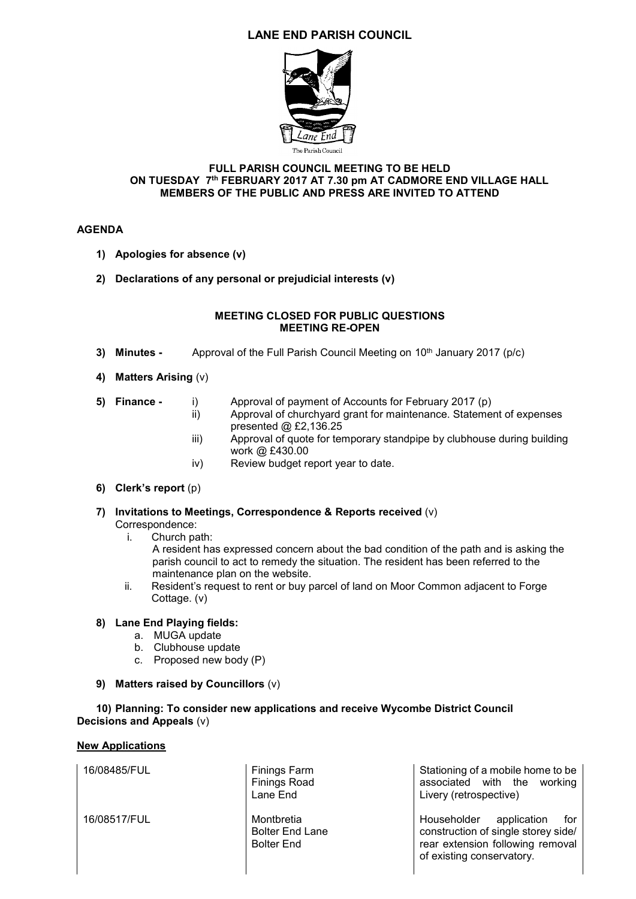# **LANE END PARISH COUNCIL**



#### **FULL PARISH COUNCIL MEETING TO BE HELD ON TUESDAY 7 th FEBRUARY 2017 AT 7.30 pm AT CADMORE END VILLAGE HALL MEMBERS OF THE PUBLIC AND PRESS ARE INVITED TO ATTEND**

## **AGENDA**

- **1) Apologies for absence (v)**
- **2) Declarations of any personal or prejudicial interests (v)**

#### **MEETING CLOSED FOR PUBLIC QUESTIONS MEETING RE-OPEN**

- **3) Minutes -** Approval of the Full Parish Council Meeting on 10<sup>th</sup> January 2017 (p/c)
- **4) Matters Arising** (v)
- 
- **5) Finance -** i) Approval of payment of Accounts for February 2017 (p)
	- Approval of churchyard grant for maintenance. Statement of expenses presented @ £2,136.25
	- iii) Approval of quote for temporary standpipe by clubhouse during building work @ £430.00
	- iv) Review budget report year to date.

### **6) Clerk's report** (p)

- **7) Invitations to Meetings, Correspondence & Reports received** (v) Correspondence:
	- i. Church path:

A resident has expressed concern about the bad condition of the path and is asking the parish council to act to remedy the situation. The resident has been referred to the maintenance plan on the website.

ii. Resident's request to rent or buy parcel of land on Moor Common adjacent to Forge Cottage. (v)

### **8) Lane End Playing fields:**

- a. MUGA update
- b. Clubhouse update
- c. Proposed new body (P)
- **9) Matters raised by Councillors** (v)

## **10) Planning: To consider new applications and receive Wycombe District Council Decisions and Appeals** (v)

### **New Applications**

16/08485/FUL Finings Farm

16/08517/FUL Montbretia

Finings Road Lane End

Bolter End Lane Bolter End

Stationing of a mobile home to be associated with the working Livery (retrospective)

Householder application for construction of single storey side/ rear extension following removal of existing conservatory.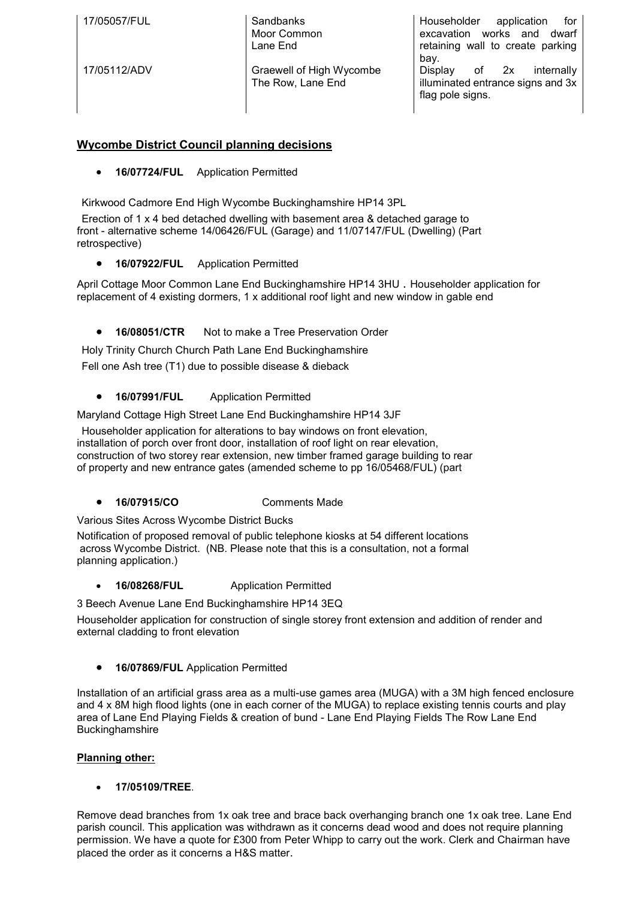| 17/05057/FUL | Sandbanks<br>Moor Common<br>Lane End          | Householder<br>application<br>for<br>works and<br>dwarf<br>excavation<br>retaining wall to create parking<br>bay. |
|--------------|-----------------------------------------------|-------------------------------------------------------------------------------------------------------------------|
| 17/05112/ADV | Graewell of High Wycombe<br>The Row, Lane End | of 2x<br>internally<br>Display<br>illuminated entrance signs and 3x<br>flag pole signs.                           |

# **Wycombe District Council planning decisions**

**16/07724/FUL** Application Permitted

Kirkwood Cadmore End High Wycombe Buckinghamshire HP14 3PL

Erection of 1 x 4 bed detached dwelling with basement area & detached garage to front - alternative scheme 14/06426/FUL (Garage) and 11/07147/FUL (Dwelling) (Part retrospective)

**16/07922/FUL** Application Permitted

April Cottage Moor Common Lane End Buckinghamshire HP14 3HU . Householder application for replacement of 4 existing dormers, 1 x additional roof light and new window in gable end

**16/08051/CTR** Not to make a Tree Preservation Order

Holy Trinity Church Church Path Lane End Buckinghamshire Fell one Ash tree (T1) due to possible disease & dieback

**16/07991/FUL** Application Permitted

Maryland Cottage High Street Lane End Buckinghamshire HP14 3JF

Householder application for alterations to bay windows on front elevation, installation of porch over front door, installation of roof light on rear elevation, construction of two storey rear extension, new timber framed garage building to rear of property and new entrance gates (amended scheme to pp 16/05468/FUL) (part

**16/07915/CO** Comments Made

Various Sites Across Wycombe District Bucks

Notification of proposed removal of public telephone kiosks at 54 different locations across Wycombe District. (NB. Please note that this is a consultation, not a formal planning application.)

**16/08268/FUL** Application Permitted

3 Beech Avenue Lane End Buckinghamshire HP14 3EQ

Householder application for construction of single storey front extension and addition of render and external cladding to front elevation

**16/07869/FUL** Application Permitted

[Installation of an artificial grass area as a multi-use games area \(MUGA\) with a 3M high fenced enclosure](http://publicaccess.wycombe.gov.uk/idoxpa-web/centralDistribution.do?caseType=Application&keyVal=OFFOOSSCGK700)  [and 4 x 8M high flood lights \(one in each corner of the MUGA\) to replace existing tennis courts and play](http://publicaccess.wycombe.gov.uk/idoxpa-web/centralDistribution.do?caseType=Application&keyVal=OFFOOSSCGK700)  [area of Lane End Playing Fields & creation of bund -](http://publicaccess.wycombe.gov.uk/idoxpa-web/centralDistribution.do?caseType=Application&keyVal=OFFOOSSCGK700) Lane End Playing Fields The Row Lane End [Buckinghamshire](http://publicaccess.wycombe.gov.uk/idoxpa-web/centralDistribution.do?caseType=Application&keyVal=OFFOOSSCGK700)

### **Planning other:**

**17/05109/TREE**.

Remove dead branches from 1x oak tree and brace back overhanging branch one 1x oak tree. Lane End parish council. This application was withdrawn as it concerns dead wood and does not require planning permission. We have a quote for £300 from Peter Whipp to carry out the work. Clerk and Chairman have placed the order as it concerns a H&S matter.